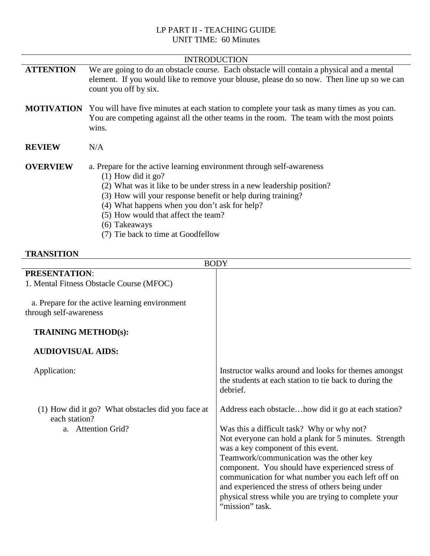#### LP PART II - TEACHING GUIDE UNIT TIME: 60 Minutes

|                  | <b>INTRODUCTION</b>                                                                                                                                                                                                                                                                                                                                                                  |
|------------------|--------------------------------------------------------------------------------------------------------------------------------------------------------------------------------------------------------------------------------------------------------------------------------------------------------------------------------------------------------------------------------------|
| <b>ATTENTION</b> | We are going to do an obstacle course. Each obstacle will contain a physical and a mental<br>element. If you would like to remove your blouse, please do so now. Then line up so we can<br>count you off by six.                                                                                                                                                                     |
|                  | <b>MOTIVATION</b> You will have five minutes at each station to complete your task as many times as you can.<br>You are competing against all the other teams in the room. The team with the most points<br>wins.                                                                                                                                                                    |
| <b>REVIEW</b>    | N/A                                                                                                                                                                                                                                                                                                                                                                                  |
| <b>OVERVIEW</b>  | a. Prepare for the active learning environment through self-awareness<br>$(1)$ How did it go?<br>(2) What was it like to be under stress in a new leadership position?<br>(3) How will your response benefit or help during training?<br>(4) What happens when you don't ask for help?<br>(5) How would that affect the team?<br>(6) Takeaways<br>(7) Tie back to time at Goodfellow |

#### **TRANSITION**

|                                                                                          | <b>BODY</b>                                                                                                                                                                                                                                                                                                                                                                                                                                                                             |
|------------------------------------------------------------------------------------------|-----------------------------------------------------------------------------------------------------------------------------------------------------------------------------------------------------------------------------------------------------------------------------------------------------------------------------------------------------------------------------------------------------------------------------------------------------------------------------------------|
| <b>PRESENTATION:</b><br>1. Mental Fitness Obstacle Course (MFOC)                         |                                                                                                                                                                                                                                                                                                                                                                                                                                                                                         |
| a. Prepare for the active learning environment<br>through self-awareness                 |                                                                                                                                                                                                                                                                                                                                                                                                                                                                                         |
| <b>TRAINING METHOD(s):</b>                                                               |                                                                                                                                                                                                                                                                                                                                                                                                                                                                                         |
| <b>AUDIOVISUAL AIDS:</b>                                                                 |                                                                                                                                                                                                                                                                                                                                                                                                                                                                                         |
| Application:                                                                             | Instructor walks around and looks for themes amongst<br>the students at each station to tie back to during the<br>debrief.                                                                                                                                                                                                                                                                                                                                                              |
| (1) How did it go? What obstacles did you face at<br>each station?<br>a. Attention Grid? | Address each obstacle how did it go at each station?<br>Was this a difficult task? Why or why not?<br>Not everyone can hold a plank for 5 minutes. Strength<br>was a key component of this event.<br>Teamwork/communication was the other key<br>component. You should have experienced stress of<br>communication for what number you each left off on<br>and experienced the stress of others being under<br>physical stress while you are trying to complete your<br>"mission" task. |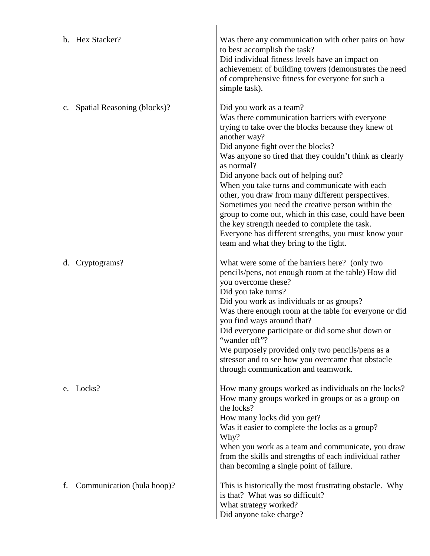|    | b. Hex Stacker?                | Was there any communication with other pairs on how<br>to best accomplish the task?<br>Did individual fitness levels have an impact on<br>achievement of building towers (demonstrates the need<br>of comprehensive fitness for everyone for such a<br>simple task).                                                                                                                                                                                                                                                                                                                                                                                                          |
|----|--------------------------------|-------------------------------------------------------------------------------------------------------------------------------------------------------------------------------------------------------------------------------------------------------------------------------------------------------------------------------------------------------------------------------------------------------------------------------------------------------------------------------------------------------------------------------------------------------------------------------------------------------------------------------------------------------------------------------|
|    | c. Spatial Reasoning (blocks)? | Did you work as a team?<br>Was there communication barriers with everyone<br>trying to take over the blocks because they knew of<br>another way?<br>Did anyone fight over the blocks?<br>Was anyone so tired that they couldn't think as clearly<br>as normal?<br>Did anyone back out of helping out?<br>When you take turns and communicate with each<br>other, you draw from many different perspectives.<br>Sometimes you need the creative person within the<br>group to come out, which in this case, could have been<br>the key strength needed to complete the task.<br>Everyone has different strengths, you must know your<br>team and what they bring to the fight. |
| d. | Cryptograms?                   | What were some of the barriers here? (only two<br>pencils/pens, not enough room at the table) How did<br>you overcome these?<br>Did you take turns?<br>Did you work as individuals or as groups?<br>Was there enough room at the table for everyone or did<br>you find ways around that?<br>Did everyone participate or did some shut down or<br>"wander off"?<br>We purposely provided only two pencils/pens as a<br>stressor and to see how you overcame that obstacle<br>through communication and teamwork.                                                                                                                                                               |
|    | e. Locks?                      | How many groups worked as individuals on the locks?<br>How many groups worked in groups or as a group on<br>the locks?<br>How many locks did you get?<br>Was it easier to complete the locks as a group?<br>Why?<br>When you work as a team and communicate, you draw<br>from the skills and strengths of each individual rather<br>than becoming a single point of failure.                                                                                                                                                                                                                                                                                                  |
| f. | Communication (hula hoop)?     | This is historically the most frustrating obstacle. Why<br>is that? What was so difficult?<br>What strategy worked?<br>Did anyone take charge?                                                                                                                                                                                                                                                                                                                                                                                                                                                                                                                                |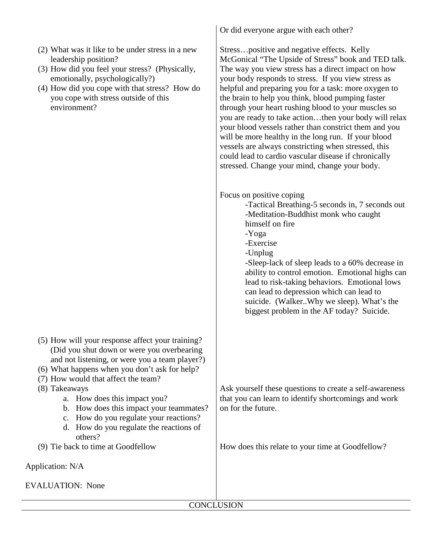- (2) What was it like to be under stress in a new leadership position?
- (3) How did you feel your stress? (Physically, emotionally, psychologically?)
- (4) How did you cope with that stress? How do you cope with stress outside of this environment?

Or did everyone argue with each other?

Stress…positive and negative effects. Kelly McGonical "The Upside of Stress" book and TED talk. The way you view stress has a direct impact on how your body responds to stress. If you view stress as helpful and preparing you for a task: more oxygen to the brain to help you think, blood pumping faster through your heart rushing blood to your muscles so you are ready to take action…then your body will relax your blood vessels rather than constrict them and you will be more healthy in the long run. If your blood vessels are always constricting when stressed, this could lead to cardio vascular disease if chronically stressed. Change your mind, change your body.

Focus on positive coping

-Tactical Breathing-5 seconds in, 7 seconds out -Meditation-Buddhist monk who caught himself on fire

- -Yoga
- -Exercise
- -Unplug

-Sleep-lack of sleep leads to a 60% decrease in ability to control emotion. Emotional highs can lead to risk-taking behaviors. Emotional lows can lead to depression which can lead to suicide. (Walker..Why we sleep). What's the biggest problem in the AF today? Suicide.

Ask yourself these questions to create a self-awareness that you can learn to identify shortcomings and work on for the future.

How does this relate to your time at Goodfellow?

- c. How do you regulate your reactions?
- d. How do you regulate the reactions of others?

b. How does this impact your teammates?

(5) How will your response affect your training? (Did you shut down or were you overbearing and not listening, or were you a team player?) (6) What happens when you don't ask for help?

a. How does this impact you?

(9) Tie back to time at Goodfellow

(7) How would that affect the team?

Application: N/A

EVALUATION: None

(8) Takeaways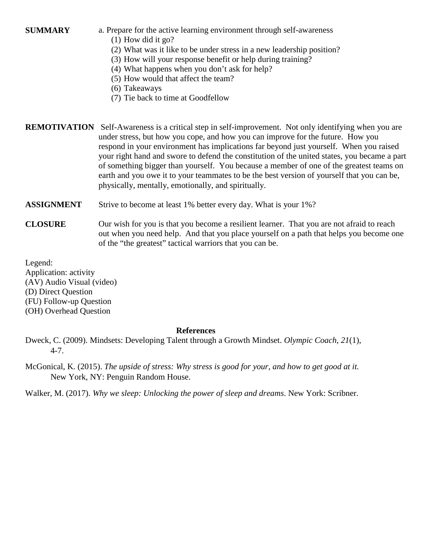- **SUMMARY** a. Prepare for the active learning environment through self-awareness
	- (1) How did it go?
	- (2) What was it like to be under stress in a new leadership position?
	- (3) How will your response benefit or help during training?
	- (4) What happens when you don't ask for help?
	- (5) How would that affect the team?
	- (6) Takeaways
	- (7) Tie back to time at Goodfellow

**REMOTIVATION** Self-Awareness is a critical step in self-improvement. Not only identifying when you are under stress, but how you cope, and how you can improve for the future. How you respond in your environment has implications far beyond just yourself. When you raised your right hand and swore to defend the constitution of the united states, you became a part of something bigger than yourself. You because a member of one of the greatest teams on earth and you owe it to your teammates to be the best version of yourself that you can be, physically, mentally, emotionally, and spiritually.

- **ASSIGNMENT** Strive to become at least 1% better every day. What is your 1%?
- **CLOSURE** Our wish for you is that you become a resilient learner. That you are not afraid to reach out when you need help. And that you place yourself on a path that helps you become one of the "the greatest" tactical warriors that you can be.

Legend: Application: activity (AV) Audio Visual (video) (D) Direct Question (FU) Follow-up Question (OH) Overhead Question

#### **References**

Dweck, C. (2009). Mindsets: Developing Talent through a Growth Mindset. *Olympic Coach*, *21*(1), 4-7.

McGonical, K. (2015). *The upside of stress: Why stress is good for your, and how to get good at it.*  New York, NY: Penguin Random House.

Walker, M. (2017). *Why we sleep: Unlocking the power of sleep and dreams*. New York: Scribner.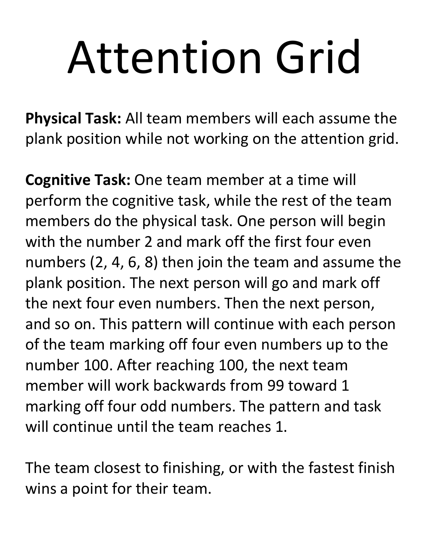## Attention Grid

**Physical Task:** All team members will each assume the plank position while not working on the attention grid.

**Cognitive Task:** One team member at a time will perform the cognitive task, while the rest of the team members do the physical task. One person will begin with the number 2 and mark off the first four even numbers (2, 4, 6, 8) then join the team and assume the plank position. The next person will go and mark off the next four even numbers. Then the next person, and so on. This pattern will continue with each person of the team marking off four even numbers up to the number 100. After reaching 100, the next team member will work backwards from 99 toward 1 marking off four odd numbers. The pattern and task will continue until the team reaches 1.

The team closest to finishing, or with the fastest finish wins a point for their team.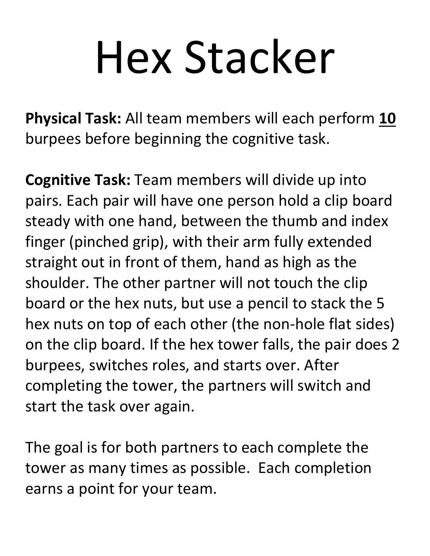## Hex Stacker

**Physical Task:** All team members will each perform **10** burpees before beginning the cognitive task.

**Cognitive Task:** Team members will divide up into pairs. Each pair will have one person hold a clip board steady with one hand, between the thumb and index finger (pinched grip), with their arm fully extended straight out in front of them, hand as high as the shoulder. The other partner will not touch the clip board or the hex nuts, but use a pencil to stack the 5 hex nuts on top of each other (the non-hole flat sides) on the clip board. If the hex tower falls, the pair does 2 burpees, switches roles, and starts over. After completing the tower, the partners will switch and start the task over again.

The goal is for both partners to each complete the tower as many times as possible. Each completion earns a point for your team.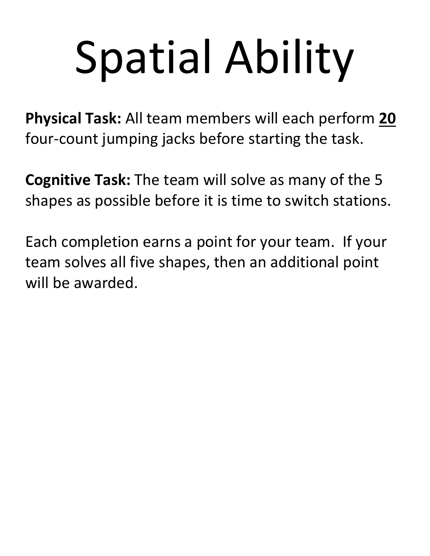## Spatial Ability

**Physical Task:** All team members will each perform **20** four-count jumping jacks before starting the task.

**Cognitive Task:** The team will solve as many of the 5 shapes as possible before it is time to switch stations.

Each completion earns a point for your team. If your team solves all five shapes, then an additional point will be awarded.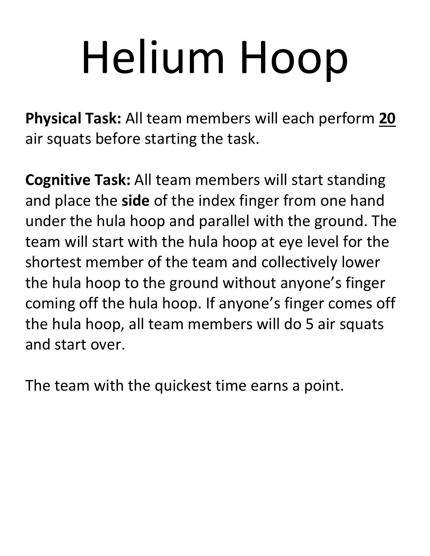## Helium Hoop

**Physical Task:** All team members will each perform **20** air squats before starting the task.

**Cognitive Task:** All team members will start standing and place the **side** of the index finger from one hand under the hula hoop and parallel with the ground. The team will start with the hula hoop at eye level for the shortest member of the team and collectively lower the hula hoop to the ground without anyone's finger coming off the hula hoop. If anyone's finger comes off the hula hoop, all team members will do 5 air squats and start over.

The team with the quickest time earns a point.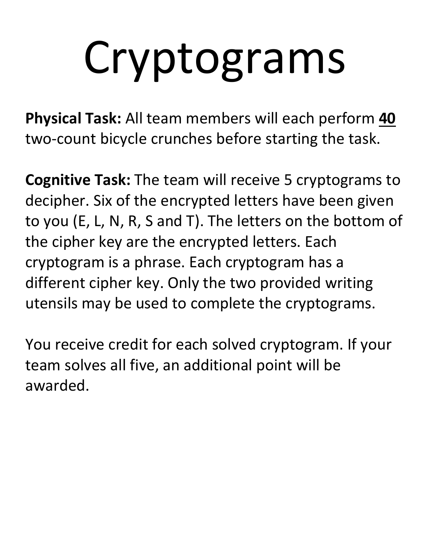## Cryptograms

**Physical Task:** All team members will each perform **40** two-count bicycle crunches before starting the task.

**Cognitive Task:** The team will receive 5 cryptograms to decipher. Six of the encrypted letters have been given to you (E, L, N, R, S and T). The letters on the bottom of the cipher key are the encrypted letters. Each cryptogram is a phrase. Each cryptogram has a different cipher key. Only the two provided writing utensils may be used to complete the cryptograms.

You receive credit for each solved cryptogram. If your team solves all five, an additional point will be awarded.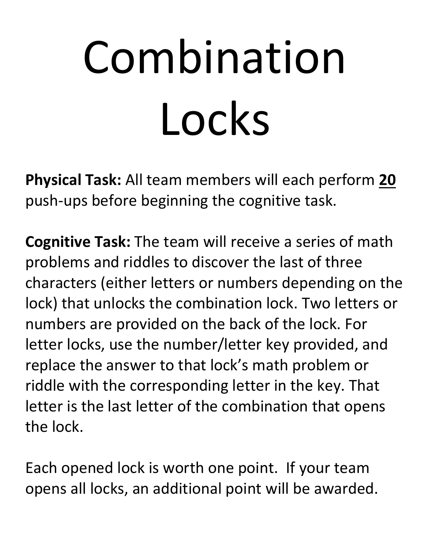# Combination Locks

**Physical Task:** All team members will each perform **20** push-ups before beginning the cognitive task.

**Cognitive Task:** The team will receive a series of math problems and riddles to discover the last of three characters (either letters or numbers depending on the lock) that unlocks the combination lock. Two letters or numbers are provided on the back of the lock. For letter locks, use the number/letter key provided, and replace the answer to that lock's math problem or riddle with the corresponding letter in the key. That letter is the last letter of the combination that opens the lock.

Each opened lock is worth one point. If your team opens all locks, an additional point will be awarded.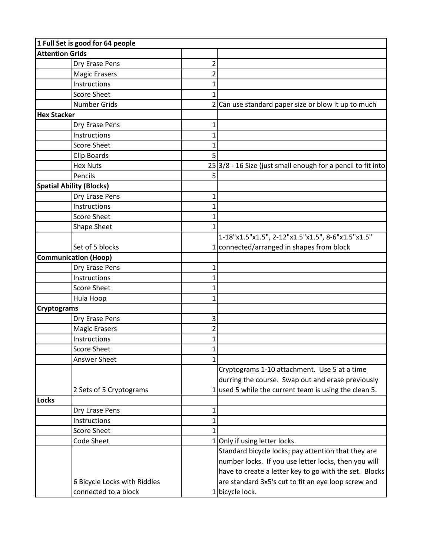|                        | 1 Full Set is good for 64 people |              |                                                              |
|------------------------|----------------------------------|--------------|--------------------------------------------------------------|
| <b>Attention Grids</b> |                                  |              |                                                              |
|                        | Dry Erase Pens                   | 2            |                                                              |
|                        | <b>Magic Erasers</b>             | 2            |                                                              |
|                        | Instructions                     | 1            |                                                              |
|                        | <b>Score Sheet</b>               | 1            |                                                              |
|                        | <b>Number Grids</b>              |              | 2 Can use standard paper size or blow it up to much          |
| <b>Hex Stacker</b>     |                                  |              |                                                              |
|                        | Dry Erase Pens                   | 1            |                                                              |
|                        | Instructions                     | 1            |                                                              |
|                        | <b>Score Sheet</b>               | 1            |                                                              |
|                        | Clip Boards                      | 5            |                                                              |
|                        | <b>Hex Nuts</b>                  |              | 25 3/8 - 16 Size (just small enough for a pencil to fit into |
|                        | Pencils                          | 5            |                                                              |
|                        | <b>Spatial Ability (Blocks)</b>  |              |                                                              |
|                        | Dry Erase Pens                   | 1            |                                                              |
|                        | Instructions                     | 1            |                                                              |
|                        | <b>Score Sheet</b>               | 1            |                                                              |
|                        | <b>Shape Sheet</b>               | $\mathbf{1}$ |                                                              |
|                        |                                  |              | 1-18"x1.5"x1.5", 2-12"x1.5"x1.5", 8-6"x1.5"x1.5"             |
|                        | Set of 5 blocks                  |              | 1 connected/arranged in shapes from block                    |
|                        | <b>Communication (Hoop)</b>      |              |                                                              |
|                        | Dry Erase Pens                   | 1            |                                                              |
|                        | Instructions                     | 1            |                                                              |
|                        | <b>Score Sheet</b>               | 1            |                                                              |
|                        | Hula Hoop                        | 1            |                                                              |
| <b>Cryptograms</b>     |                                  |              |                                                              |
|                        | Dry Erase Pens                   | 3            |                                                              |
|                        | <b>Magic Erasers</b>             | 2            |                                                              |
|                        | Instructions                     | 1            |                                                              |
|                        | <b>Score Sheet</b>               | 1            |                                                              |
|                        | <b>Answer Sheet</b>              | 1            |                                                              |
|                        |                                  |              | Cryptograms 1-10 attachment. Use 5 at a time                 |
|                        |                                  |              | durring the course. Swap out and erase previously            |
|                        | 2 Sets of 5 Cryptograms          |              | 1 used 5 while the current team is using the clean 5.        |
| <b>Locks</b>           |                                  |              |                                                              |
|                        | Dry Erase Pens                   | 1            |                                                              |
|                        | Instructions                     | 1            |                                                              |
|                        | <b>Score Sheet</b>               | 1            |                                                              |
|                        | <b>Code Sheet</b>                |              | 1 Only if using letter locks.                                |
|                        |                                  |              | Standard bicycle locks; pay attention that they are          |
|                        |                                  |              | number locks. If you use letter locks, then you will         |
|                        |                                  |              | have to create a letter key to go with the set. Blocks       |
|                        | 6 Bicycle Locks with Riddles     |              | are standard 3x5's cut to fit an eye loop screw and          |
|                        | connected to a block             |              | 1 bicycle lock.                                              |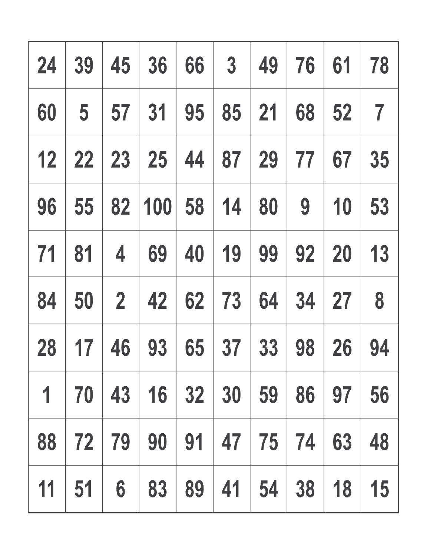|             |        | 24   39   45   36   66   3   49   76   61   78  |                   |  |       |    |
|-------------|--------|-------------------------------------------------|-------------------|--|-------|----|
|             |        | 60   5   57   31   95   85   21   68   52   7   |                   |  |       |    |
|             |        | 12   22   23   25   44   87   29   77   67   35 |                   |  |       |    |
|             |        | 96   55   82  100   58   14   80   9   10   53  |                   |  |       |    |
|             |        | 71   81   4   69   40   19   99   92   20   13  |                   |  |       |    |
|             |        | 84   50   2   42   62   73   64   34   27   8   |                   |  |       |    |
|             |        | 28   17   46   93   65   37   33   98   26   94 |                   |  |       |    |
| $\mathbf 1$ |        | 70 43 16 32 30 59                               |                   |  | 86 97 | 56 |
| 88          |        | 72   79   90   91   47   75   74                |                   |  | 63    | 48 |
| 11          | $51$ 6 |                                                 | 83 89 41 54 38 18 |  |       | 15 |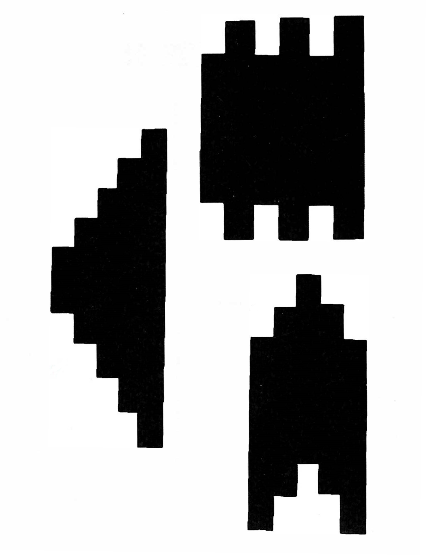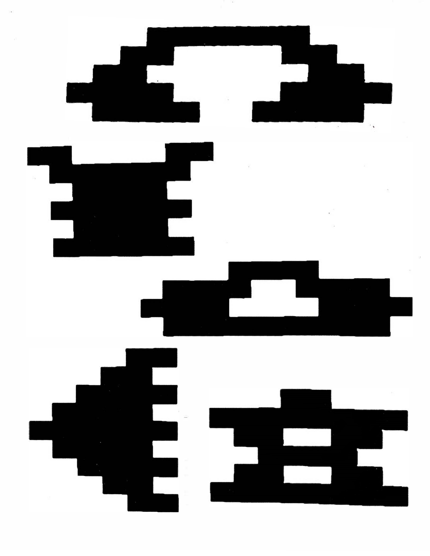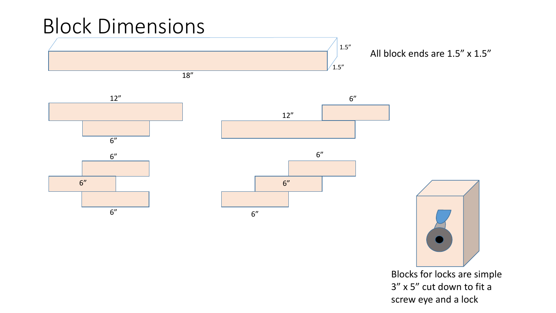

3" x 5" cut down to fit a screw eye and a lock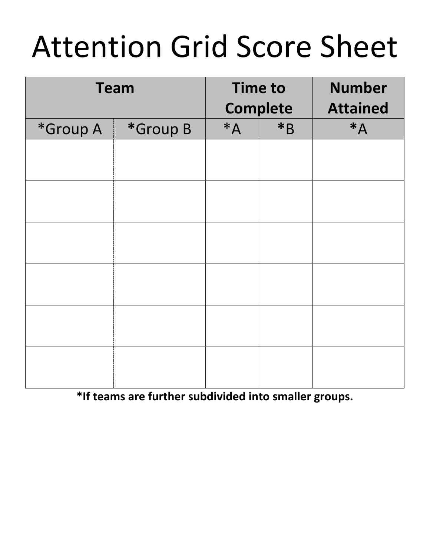#### Attention Grid Score Sheet

| <b>Team</b> | <b>Time to</b><br><b>Complete</b> |       | <b>Number</b><br><b>Attained</b> |         |
|-------------|-----------------------------------|-------|----------------------------------|---------|
| *Group A    | *Group B                          | $^*A$ | $*B$                             | $*_{A}$ |
|             |                                   |       |                                  |         |
|             |                                   |       |                                  |         |
|             |                                   |       |                                  |         |
|             |                                   |       |                                  |         |
|             |                                   |       |                                  |         |
|             |                                   |       |                                  |         |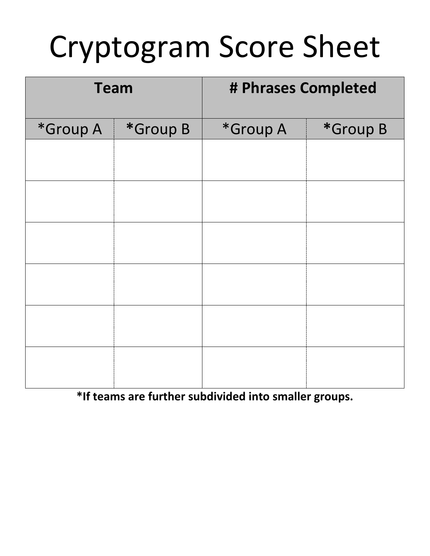### Cryptogram Score Sheet

|          | <b>Team</b> | # Phrases Completed |          |
|----------|-------------|---------------------|----------|
| *Group A | *Group B    | *Group A            | *Group B |
|          |             |                     |          |
|          |             |                     |          |
|          |             |                     |          |
|          |             |                     |          |
|          |             |                     |          |
|          |             |                     |          |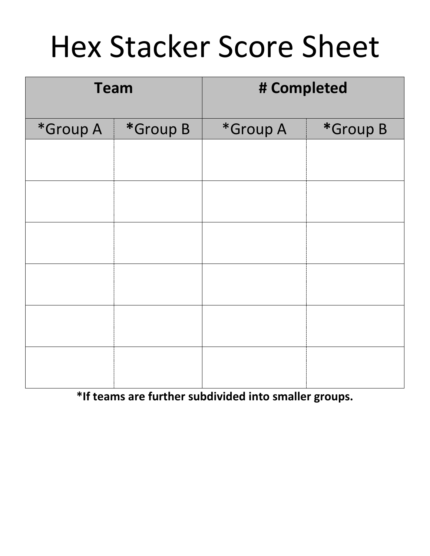#### Hex Stacker Score Sheet

|          | <b>Team</b> | # Completed |          |
|----------|-------------|-------------|----------|
| *Group A | *Group B    | *Group A    | *Group B |
|          |             |             |          |
|          |             |             |          |
|          |             |             |          |
|          |             |             |          |
|          |             |             |          |
|          |             |             |          |
|          |             |             |          |
|          |             |             |          |
|          |             |             |          |
|          |             |             |          |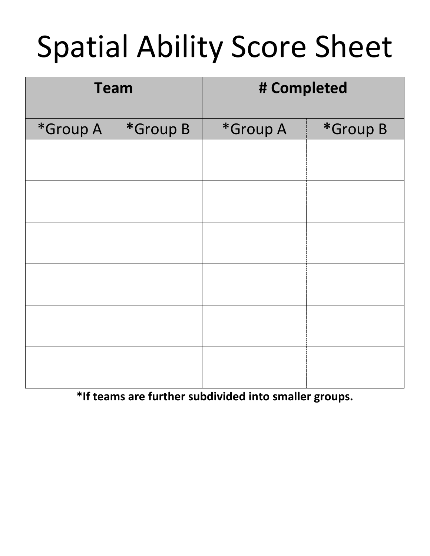### Spatial Ability Score Sheet

| <b>Team</b> | # Completed |          |
|-------------|-------------|----------|
| *Group B    | *Group A    | *Group B |
|             |             |          |
|             |             |          |
|             |             |          |
|             |             |          |
|             |             |          |
|             |             |          |
|             |             |          |
|             |             |          |
|             |             |          |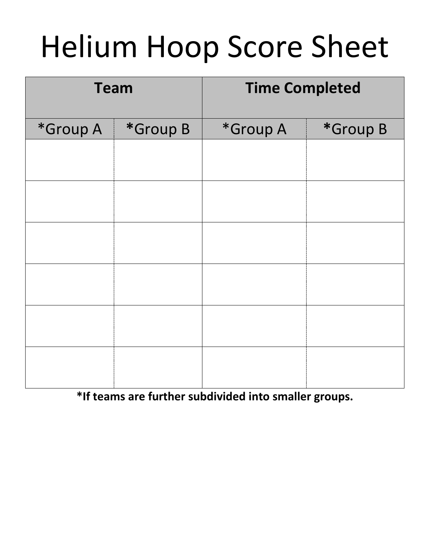### Helium Hoop Score Sheet

| <b>Team</b> |          | <b>Time Completed</b> |          |
|-------------|----------|-----------------------|----------|
| *Group A    | *Group B | *Group A              | *Group B |
|             |          |                       |          |
|             |          |                       |          |
|             |          |                       |          |
|             |          |                       |          |
|             |          |                       |          |
|             |          |                       |          |